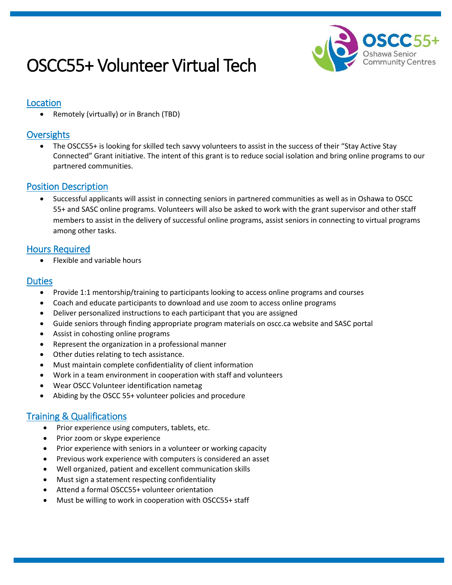# OSCC55+ Volunteer Virtual Tech



#### Location

Remotely (virtually) or in Branch (TBD)

## **Oversights**

 The OSCC55+ is looking for skilled tech savvy volunteers to assist in the success of their "Stay Active Stay Connected" Grant initiative. The intent of this grant is to reduce social isolation and bring online programs to our partnered communities.

#### Position Description

 Successful applicants will assist in connecting seniors in partnered communities as well as in Oshawa to OSCC 55+ and SASC online programs. Volunteers will also be asked to work with the grant supervisor and other staff members to assist in the delivery of successful online programs, assist seniors in connecting to virtual programs among other tasks.

## Hours Required

Flexible and variable hours

#### **Duties**

- Provide 1:1 mentorship/training to participants looking to access online programs and courses
- Coach and educate participants to download and use zoom to access online programs
- Deliver personalized instructions to each participant that you are assigned
- Guide seniors through finding appropriate program materials on oscc.ca website and SASC portal
- Assist in cohosting online programs
- Represent the organization in a professional manner
- Other duties relating to tech assistance.
- Must maintain complete confidentiality of client information
- Work in a team environment in cooperation with staff and volunteers
- Wear OSCC Volunteer identification nametag
- Abiding by the OSCC 55+ volunteer policies and procedure

#### Training & Qualifications

- Prior experience using computers, tablets, etc.
- Prior zoom or skype experience
- Prior experience with seniors in a volunteer or working capacity
- Previous work experience with computers is considered an asset
- Well organized, patient and excellent communication skills
- Must sign a statement respecting confidentiality
- Attend a formal OSCC55+ volunteer orientation
- Must be willing to work in cooperation with OSCC55+ staff